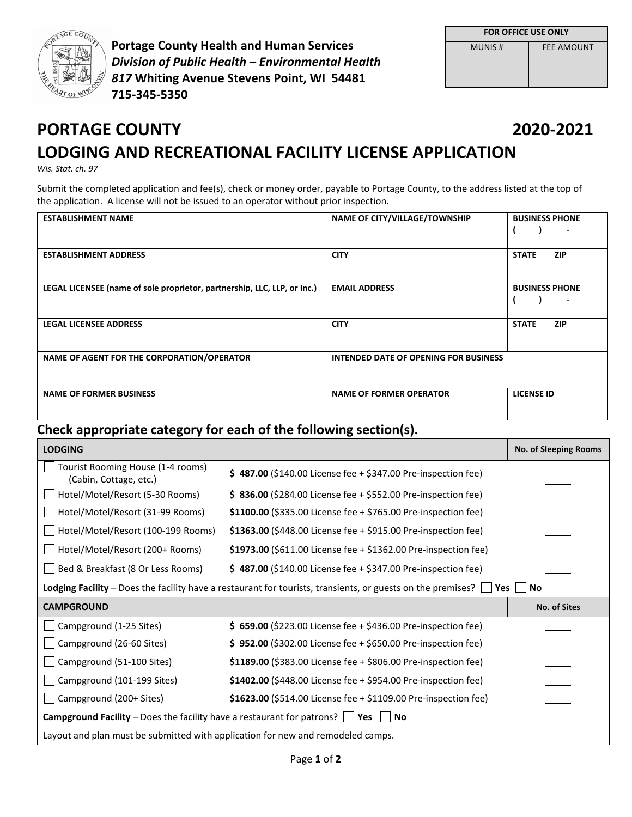

**Portage County Health and Human Services** *Division of Public Health – Environmental Health 817* **Whiting Avenue Stevens Point, WI 54481 715-345-5350** 

| <b>FOR OFFICE USE ONLY</b> |                   |  |  |
|----------------------------|-------------------|--|--|
| <b>MUNIS#</b>              | <b>FEE AMOUNT</b> |  |  |
|                            |                   |  |  |
|                            |                   |  |  |

## **PORTAGE COUNTY 2020-2021 LODGING AND RECREATIONAL FACILITY LICENSE APPLICATION**

*Wis. Stat. ch. 97*

Submit the completed application and fee(s), check or money order, payable to Portage County, to the address listed at the top of the application. A license will not be issued to an operator without prior inspection.

| <b>ESTABLISHMENT NAME</b>                                                | <b>NAME OF CITY/VILLAGE/TOWNSHIP</b>         | <b>BUSINESS PHONE</b><br>٠ |
|--------------------------------------------------------------------------|----------------------------------------------|----------------------------|
| <b>ESTABLISHMENT ADDRESS</b>                                             | <b>CITY</b>                                  | <b>STATE</b><br><b>ZIP</b> |
| LEGAL LICENSEE (name of sole proprietor, partnership, LLC, LLP, or Inc.) | <b>EMAIL ADDRESS</b>                         | <b>BUSINESS PHONE</b>      |
| <b>LEGAL LICENSEE ADDRESS</b>                                            | <b>CITY</b>                                  | <b>STATE</b><br><b>ZIP</b> |
| NAME OF AGENT FOR THE CORPORATION/OPERATOR                               | <b>INTENDED DATE OF OPENING FOR BUSINESS</b> |                            |
| <b>NAME OF FORMER BUSINESS</b>                                           | <b>NAME OF FORMER OPERATOR</b>               | <b>LICENSE ID</b>          |

## **Check appropriate category for each of the following section(s).**

| <b>LODGING</b>                                                                                                                      |                                                                   | <b>No. of Sleeping Rooms</b> |  |  |
|-------------------------------------------------------------------------------------------------------------------------------------|-------------------------------------------------------------------|------------------------------|--|--|
| Tourist Rooming House (1-4 rooms)<br>(Cabin, Cottage, etc.)                                                                         | \$487.00 (\$140.00 License fee + \$347.00 Pre-inspection fee)     |                              |  |  |
| Hotel/Motel/Resort (5-30 Rooms)                                                                                                     | \$836.00 (\$284.00 License fee + \$552.00 Pre-inspection fee)     |                              |  |  |
| Hotel/Motel/Resort (31-99 Rooms)                                                                                                    | \$1100.00 (\$335.00 License fee + \$765.00 Pre-inspection fee)    |                              |  |  |
| Hotel/Motel/Resort (100-199 Rooms)                                                                                                  | \$1363.00 (\$448.00 License fee + \$915.00 Pre-inspection fee)    |                              |  |  |
| Hotel/Motel/Resort (200+ Rooms)                                                                                                     | \$1973.00 (\$611.00 License fee $+$ \$1362.00 Pre-inspection fee) |                              |  |  |
| Bed & Breakfast (8 Or Less Rooms)                                                                                                   | \$487.00 (\$140.00 License fee + \$347.00 Pre-inspection fee)     |                              |  |  |
| <b>Lodging Facility</b> – Does the facility have a restaurant for tourists, transients, or guests on the premises? $\Box$ Yes<br>No |                                                                   |                              |  |  |
| <b>CAMPGROUND</b>                                                                                                                   |                                                                   | No. of Sites                 |  |  |
| Campground (1-25 Sites)                                                                                                             | \$ 659.00 (\$223.00 License fee + \$436.00 Pre-inspection fee)    |                              |  |  |
| Campground (26-60 Sites)                                                                                                            | $$952.00$ (\$302.00 License fee + \$650.00 Pre-inspection fee)    |                              |  |  |
| Campground (51-100 Sites)                                                                                                           | \$1189.00 (\$383.00 License fee + \$806.00 Pre-inspection fee)    |                              |  |  |
| Campground (101-199 Sites)                                                                                                          | \$1402.00 (\$448.00 License fee + \$954.00 Pre-inspection fee)    |                              |  |  |
| Campground (200+ Sites)                                                                                                             | \$1623.00 (\$514.00 License fee + \$1109.00 Pre-inspection fee)   |                              |  |  |
| <b>Campground Facility</b> – Does the facility have a restaurant for patrons? $\Box$ Yes<br>  No                                    |                                                                   |                              |  |  |
| Layout and plan must be submitted with application for new and remodeled camps.                                                     |                                                                   |                              |  |  |